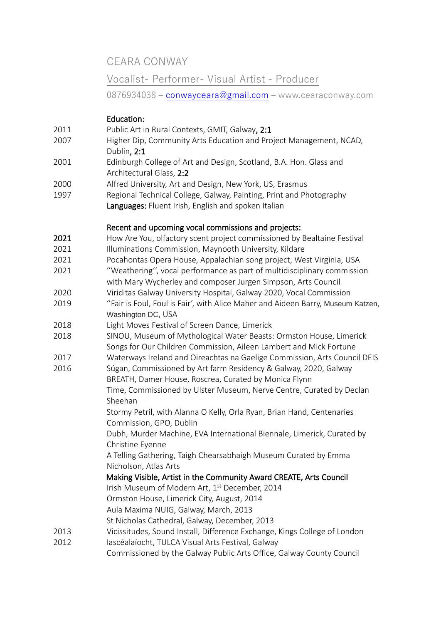CEARA CONWAY

# Vocalist- Performer- Visual Artist - Producer

0876934038 – [conwayceara@gmail.com](mailto:conwayceara@gmail.com) – www.cearaconway.com

# Education:

- 2011 Public Art in Rural Contexts, GMIT, Galway, 2:1
- 2007 Higher Dip, Community Arts Education and Project Management, NCAD, Dublin, 2:1
- 2001 Edinburgh College of Art and Design, Scotland, B.A. Hon. Glass and Architectural Glass, 2:2
- 2000 Alfred University, Art and Design, New York, US, Erasmus
- 1997 Regional Technical College, Galway, Painting, Print and Photography Languages: Fluent Irish, English and spoken Italian

# Recent and upcoming vocal commissions and projects:

- 2021 How Are You, olfactory scent project commissioned by Bealtaine Festival
- 2021 Illuminations Commission, Maynooth University, Kildare
- 2021 Pocahontas Opera House, Appalachian song project, West Virginia, USA
- 2021 ''Weathering'', vocal performance as part of multidisciplinary commission with Mary Wycherley and composer Jurgen Simpson, Arts Council
- 2020 Viriditas Galway University Hospital, Galway 2020, Vocal Commission
- 2019 ''Fair is Foul, Foul is Fair', with Alice Maher and Aideen Barry, Museum Katzen, Washington DC, USA
- 2018 Light Moves Festival of Screen Dance, Limerick
- 2018 SINOU, Museum of Mythological Water Beasts: Ormston House, Limerick Songs for Our Children Commission, Aileen Lambert and Mick Fortune
- 2017 Waterways Ireland and Oireachtas na Gaelige Commission, Arts Council DEIS
- 2016 Súgan, Commissioned by Art farm Residency & Galway, 2020, Galway BREATH, Damer House, Roscrea, Curated by Monica Flynn Time, Commissioned by Ulster Museum, Nerve Centre, Curated by Declan

Sheehan Stormy Petril, with Alanna O Kelly, Orla Ryan, Brian Hand, Centenaries Commission, GPO, Dublin

Dubh, Murder Machine, EVA International Biennale, Limerick, Curated by Christine Eyenne

A Telling Gathering, Taigh Chearsabhaigh Museum Curated by Emma Nicholson, Atlas Arts

 Making Visible, Artist in the Community Award CREATE, Arts Council Irish Museum of Modern Art, 1<sup>st</sup> December, 2014 Ormston House, Limerick City, August, 2014

Aula Maxima NUIG, Galway, March, 2013

St Nicholas Cathedral, Galway, December, 2013

- 2013 Vicissitudes, Sound Install, Difference Exchange, Kings College of London
- 2012 Iascéalaíocht, TULCA Visual Arts Festival, Galway
	- Commissioned by the Galway Public Arts Office, Galway County Council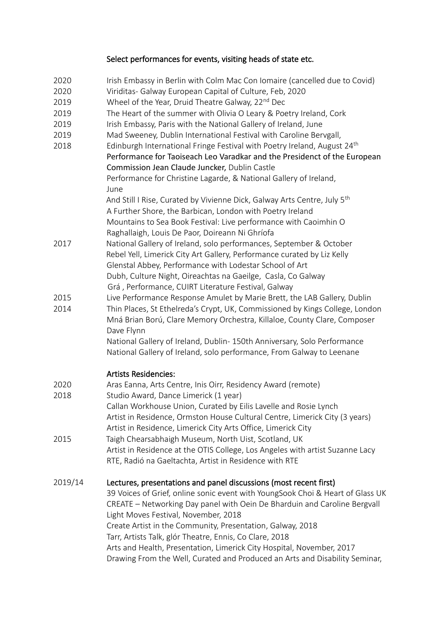# Select performances for events, visiting heads of state etc.

- 2020 Irish Embassy in Berlin with Colm Mac Con Iomaire (cancelled due to Covid)
- 2020 Viriditas- Galway European Capital of Culture, Feb, 2020
- 2019 Wheel of the Year, Druid Theatre Galway, 22<sup>nd</sup> Dec
- 2019 The Heart of the summer with Olivia O Leary & Poetry Ireland, Cork
- 2019 Irish Embassy, Paris with the National Gallery of Ireland, June
- 2019 Mad Sweeney, Dublin International Festival with Caroline Bervgall,
- 2018 Edinburgh International Fringe Festival with Poetry Ireland, August 24<sup>th</sup> Performance for Taoiseach Leo Varadkar and the Presidenct of the European Commission Jean Claude Juncker, Dublin Castle

Performance for Christine Lagarde, & National Gallery of Ireland, June

And Still I Rise, Curated by Vivienne Dick, Galway Arts Centre, July 5<sup>th</sup> A Further Shore, the Barbican, London with Poetry Ireland Mountains to Sea Book Festival: Live performance with Caoimhin O Raghallaigh, Louis De Paor, Doireann Ni Ghríofa

- 2017 National Gallery of Ireland, solo performances, September & October Rebel Yell, Limerick City Art Gallery, Performance curated by Liz Kelly Glenstal Abbey, Performance with Lodestar School of Art Dubh, Culture Night, Oireachtas na Gaeilge, Casla, Co Galway Grá , Performance, CUIRT Literature Festival, Galway
- 2015 Live Performance Response Amulet by Marie Brett, the LAB Gallery, Dublin
- 2014 Thin Places, St Ethelreda's Crypt, UK, Commissioned by Kings College, London Mná Brian Ború, Clare Memory Orchestra, Killaloe, County Clare, Composer Dave Flynn

National Gallery of Ireland, Dublin- 150th Anniversary, Solo Performance National Gallery of Ireland, solo performance, From Galway to Leenane

### Artists Residencies:

2020 Aras Eanna, Arts Centre, Inis Oirr, Residency Award (remote) 2018 Studio Award, Dance Limerick (1 year) Callan Workhouse Union, Curated by Eilis Lavelle and Rosie Lynch Artist in Residence, Ormston House Cultural Centre, Limerick City (3 years) Artist in Residence, Limerick City Arts Office, Limerick City 2015 Taigh Chearsabhaigh Museum, North Uist, Scotland, UK Artist in Residence at the OTIS College, Los Angeles with artist Suzanne Lacy RTE, Radió na Gaeltachta, Artist in Residence with RTE

2019/14 Lectures, presentations and panel discussions (most recent first) 39 Voices of Grief, online sonic event with YoungSook Choi & Heart of Glass UK CREATE – Networking Day panel with Oein De Bharduin and Caroline Bergvall Light Moves Festival, November, 2018 Create Artist in the Community, Presentation, Galway, 2018 Tarr, Artists Talk, glór Theatre, Ennis, Co Clare, 2018 Arts and Health, Presentation, Limerick City Hospital, November, 2017 Drawing From the Well, Curated and Produced an Arts and Disability Seminar,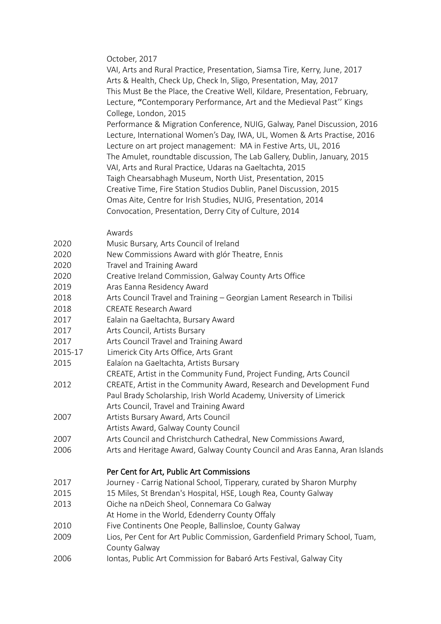October, 2017

 VAI, Arts and Rural Practice, Presentation, Siamsa Tire, Kerry, June, 2017 Arts & Health, Check Up, Check In, Sligo, Presentation, May, 2017 This Must Be the Place, the Creative Well, Kildare, Presentation, February, Lecture, "Contemporary Performance, Art and the Medieval Past" Kings College, London, 2015 Performance & Migration Conference, NUIG, Galway, Panel Discussion, 2016 Lecture, International Women's Day, IWA, UL, Women & Arts Practise, 2016 Lecture on art project management: MA in Festive Arts, UL, 2016 The Amulet, roundtable discussion, The Lab Gallery, Dublin, January, 2015 VAI, Arts and Rural Practice, Udaras na Gaeltachta, 2015 Taigh Chearsabhagh Museum, North Uist, Presentation, 2015 Creative Time, Fire Station Studios Dublin, Panel Discussion, 2015 Omas Aite, Centre for Irish Studies, NUIG, Presentation, 2014 Convocation, Presentation, Derry City of Culture, 2014

#### Awards

| 2020   | Music Bursary, Arts Council of Ireland         |
|--------|------------------------------------------------|
| 2020   | New Commissions Award with glór Theatre, Ennis |
| $\cap$ | $\tau$ l $\tau$ . A l                          |

- 2020 Travel and Training Award
- 2020 Creative Ireland Commission, Galway County Arts Office
- 2019 Aras Eanna Residency Award
- 2018 Arts Council Travel and Training Georgian Lament Research in Tbilisi
- 2018 CREATE Research Award
- 2017 Ealain na Gaeltachta, Bursary Award
- 2017 **Arts Council, Artists Bursary**
- 2017 Arts Council Travel and Training Award
- 2015-17 Limerick City Arts Office, Arts Grant
- 2015 Ealaíon na Gaeltachta, Artists Bursary
- CREATE, Artist in the Community Fund, Project Funding, Arts Council
- 2012 CREATE, Artist in the Community Award, Research and Development Fund Paul Brady Scholarship, Irish World Academy, University of Limerick Arts Council, Travel and Training Award
- 2007 Artists Bursary Award, Arts Council
- Artists Award, Galway County Council
- 2007 Arts Council and Christchurch Cathedral, New Commissions Award,
- 2006 Arts and Heritage Award, Galway County Council and Aras Eanna, Aran Islands

### Per Cent for Art, Public Art Commissions

- 2017 Journey Carrig National School, Tipperary, curated by Sharon Murphy
- 2015 15 Miles, St Brendan's Hospital, HSE, Lough Rea, County Galway
- 2013 Oiche na nDeich Sheol, Connemara Co Galway
- At Home in the World, Edenderry County Offaly
- 2010 Five Continents One People, Ballinsloe, County Galway
- 2009 Lios, Per Cent for Art Public Commission, Gardenfield Primary School, Tuam, County Galway
- 2006 Iontas, Public Art Commission for Babaró Arts Festival, Galway City